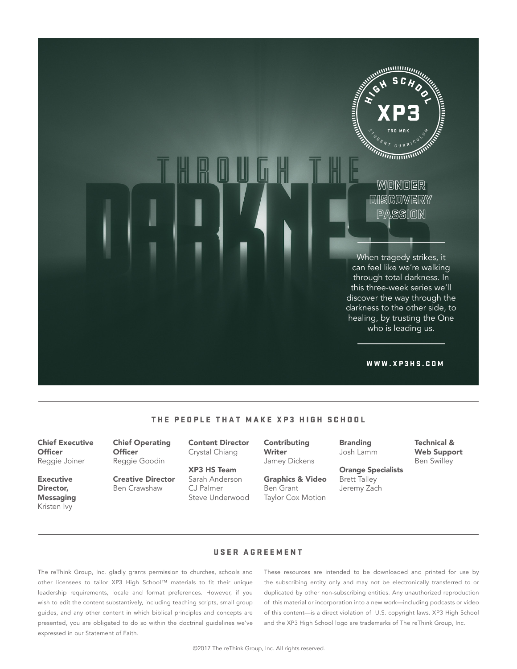

#### THE PEOPLE THAT MAKE XP3 HIGH SCHOOL

Chief Executive **Officer** Reggie Joiner

Executive Director, **Messaging** Kristen Ivy

Chief Operating **Officer** Reggie Goodin

Creative Director Ben Crawshaw

Content Director Crystal Chiang

XP3 HS Team Sarah Anderson CJ Palmer Steve Underwood Contributing Writer Jamey Dickens

Graphics & Video Ben Grant Taylor Cox Motion

Branding Josh Lamm

Orange Specialists Brett Talley Jeremy Zach

Technical & Web Support Ben Swilley

USER AGREEMENT

The reThink Group, Inc. gladly grants permission to churches, schools and other licensees to tailor XP3 High School™ materials to fit their unique leadership requirements, locale and format preferences. However, if you wish to edit the content substantively, including teaching scripts, small group guides, and any other content in which biblical principles and concepts are presented, you are obligated to do so within the doctrinal guidelines we've expressed in our Statement of Faith.

These resources are intended to be downloaded and printed for use by the subscribing entity only and may not be electronically transferred to or duplicated by other non-subscribing entities. Any unauthorized reproduction of this material or incorporation into a new work—including podcasts or video of this content—is a direct violation of U.S. copyright laws. XP3 High School and the XP3 High School logo are trademarks of The reThink Group, Inc.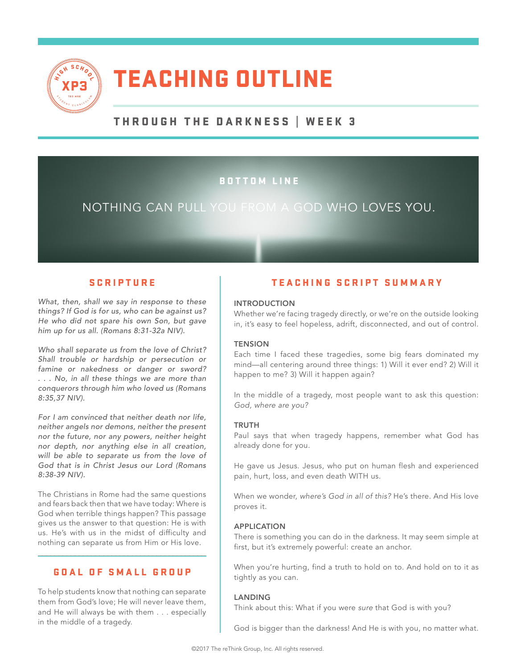

# TEACHING OUTLINE

# THROUGH THE DARKNESS | WEEK 3

# BOTTOM LINE

# NOTHING CAN PULL YOU FROM A GOD WHO LOVES YOU.

*What, then, shall we say in response to these things? If God is for us, who can be against us? He who did not spare his own Son, but gave him up for us all. (Romans 8:31-32a NIV).* 

*Who shall separate us from the love of Christ? Shall trouble or hardship or persecution or famine or nakedness or danger or sword? . . . No, in all these things we are more than conquerors through him who loved us (Romans 8:35,37 NIV).*

*For I am convinced that neither death nor life, neither angels nor demons, neither the present nor the future, nor any powers, neither height nor depth, nor anything else in all creation, will be able to separate us from the love of God that is in Christ Jesus our Lord (Romans 8:38-39 NIV).*

The Christians in Rome had the same questions and fears back then that we have today: Where is God when terrible things happen? This passage gives us the answer to that question: He is with us. He's with us in the midst of difficulty and nothing can separate us from Him or His love.

#### GOAL OF SMALL GROUP

\_\_\_\_\_\_\_\_\_\_\_\_\_\_\_\_\_\_\_\_\_\_\_\_\_\_\_\_\_\_\_\_\_\_\_\_\_\_\_\_\_

To help students know that nothing can separate them from God's love; He will never leave them, and He will always be with them . . . especially in the middle of a tragedy.

## SCRIPTURE **TEACHING SCRIPT SUMMARY**

#### INTRODUCTION

Whether we're facing tragedy directly, or we're on the outside looking in, it's easy to feel hopeless, adrift, disconnected, and out of control.

#### **TENSION**

Each time I faced these tragedies, some big fears dominated my mind—all centering around three things: 1) Will it ever end? 2) Will it happen to me? 3) Will it happen again?

In the middle of a tragedy, most people want to ask this question: *God, where are you?*

#### TRUTH

Paul says that when tragedy happens, remember what God has already done for you.

He gave us Jesus. Jesus, who put on human flesh and experienced pain, hurt, loss, and even death WITH us.

When we wonder, *where's God in all of this?* He's there. And His love proves it.

#### APPLICATION

There is something you can do in the darkness. It may seem simple at first, but it's extremely powerful: create an anchor.

When you're hurting, find a truth to hold on to. And hold on to it as tightly as you can.

#### LANDING

Think about this: What if you were *sure* that God is with you?

God is bigger than the darkness! And He is with you, no matter what.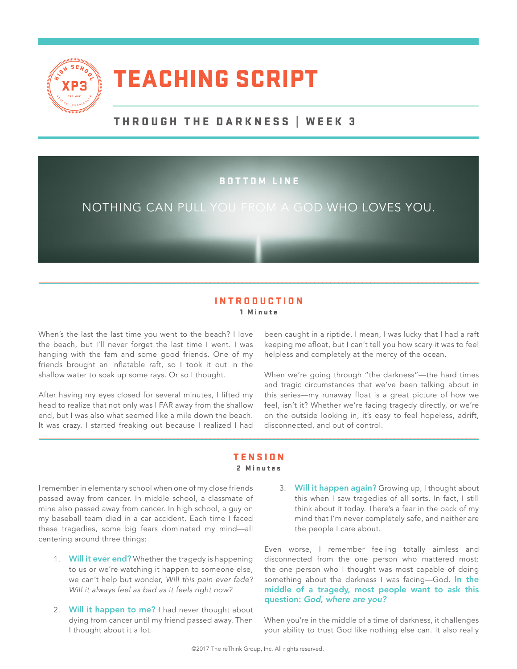

# TEACHING SCRIPT

# THROUGH THE DARKNESS | WEEK 3

### BOTTOM LINE

# NOTHING CAN PULL YOU FROM A GOD WHO LOVES YOU.

#### INTRODUCTION 1 Minute

\_\_\_\_\_\_\_\_\_\_\_\_\_\_\_\_\_\_\_\_\_\_\_\_\_\_\_\_\_\_\_\_\_\_\_\_\_\_\_\_\_\_\_\_\_\_\_\_\_\_\_\_\_\_\_\_\_\_\_\_\_\_\_\_\_\_\_\_\_\_\_\_\_\_\_\_\_\_\_\_\_\_\_\_\_\_\_\_\_\_\_\_\_\_\_\_\_\_\_\_\_\_\_\_\_\_\_\_\_\_

When's the last the last time you went to the beach? I love the beach, but I'll never forget the last time I went. I was hanging with the fam and some good friends. One of my friends brought an inflatable raft, so I took it out in the shallow water to soak up some rays. Or so I thought.

After having my eyes closed for several minutes, I lifted my head to realize that not only was I FAR away from the shallow end, but I was also what seemed like a mile down the beach. It was crazy. I started freaking out because I realized I had

been caught in a riptide. I mean, I was lucky that I had a raft keeping me afloat, but I can't tell you how scary it was to feel helpless and completely at the mercy of the ocean.

When we're going through "the darkness"—the hard times and tragic circumstances that we've been talking about in this series—my runaway float is a great picture of how we feel, isn't it? Whether we're facing tragedy directly, or we're on the outside looking in, it's easy to feel hopeless, adrift, disconnected, and out of control.

#### **TENSION** 2 Minutes

\_\_\_\_\_\_\_\_\_\_\_\_\_\_\_\_\_\_\_\_\_\_\_\_\_\_\_\_\_\_\_\_\_\_\_\_\_\_\_\_\_\_\_\_\_\_\_\_\_\_\_\_\_\_\_\_\_\_\_\_\_\_\_\_\_\_\_\_\_\_\_\_\_\_\_\_\_\_\_\_\_\_\_\_\_\_\_\_\_\_\_\_\_\_\_\_\_\_\_\_\_\_\_\_\_\_\_\_\_\_

I remember in elementary school when one of my close friends passed away from cancer. In middle school, a classmate of mine also passed away from cancer. In high school, a guy on my baseball team died in a car accident. Each time I faced these tragedies, some big fears dominated my mind—all centering around three things:

- 1. Will it ever end? Whether the tragedy is happening to us or we're watching it happen to someone else, we can't help but wonder, *Will this pain ever fade? Will it always feel as bad as it feels right now?*
- 2. Will it happen to me? I had never thought about dying from cancer until my friend passed away. Then I thought about it a lot.

3. Will it happen again? Growing up, I thought about this when I saw tragedies of all sorts. In fact, I still think about it today. There's a fear in the back of my mind that I'm never completely safe, and neither are the people I care about.

Even worse, I remember feeling totally aimless and disconnected from the one person who mattered most: the one person who I thought was most capable of doing something about the darkness I was facing-God. In the middle of a tragedy, most people want to ask this question: *God, where are you?*

When you're in the middle of a time of darkness, it challenges your ability to trust God like nothing else can. It also really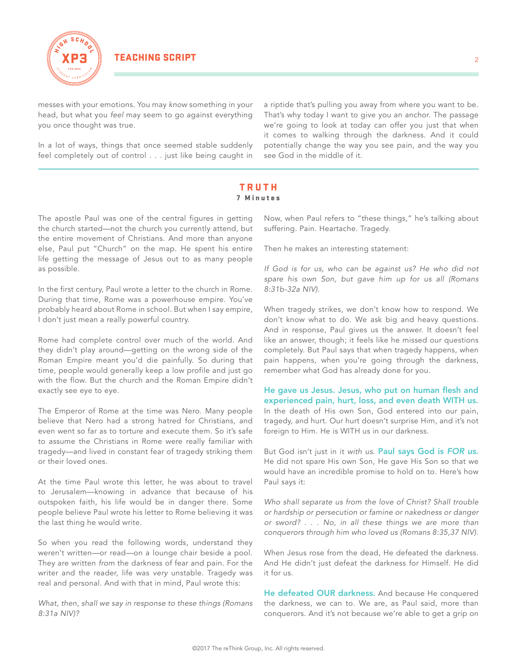

messes with your emotions. You may *know* something in your head, but what you *feel* may seem to go against everything you once thought was true.

In a lot of ways, things that once seemed stable suddenly feel completely out of control . . . just like being caught in a riptide that's pulling you away from where you want to be. That's why today I want to give you an anchor. The passage we're going to look at today can offer you just that when it comes to walking through the darkness. And it could potentially change the way you see pain, and the way you see God in the middle of it.

#### TRUTH 7 Minutes

\_\_\_\_\_\_\_\_\_\_\_\_\_\_\_\_\_\_\_\_\_\_\_\_\_\_\_\_\_\_\_\_\_\_\_\_\_\_\_\_\_\_\_\_\_\_\_\_\_\_\_\_\_\_\_\_\_\_\_\_\_\_\_\_\_\_\_\_\_\_\_\_\_\_\_\_\_\_\_\_\_\_\_\_\_\_\_\_\_\_\_\_\_\_\_\_\_\_\_\_\_\_\_\_\_\_\_\_\_\_

The apostle Paul was one of the central figures in getting the church started—not the church you currently attend, but the entire movement of Christians. And more than anyone else, Paul put "Church" on the map. He spent his entire life getting the message of Jesus out to as many people as possible.

In the first century, Paul wrote a letter to the church in Rome. During that time, Rome was a powerhouse empire. You've probably heard about Rome in school. But when I say empire, I don't just mean a really powerful country.

Rome had complete control over much of the world. And they didn't play around—getting on the wrong side of the Roman Empire meant you'd die painfully. So during that time, people would generally keep a low profile and just go with the flow. But the church and the Roman Empire didn't exactly see eye to eye.

The Emperor of Rome at the time was Nero. Many people believe that Nero had a strong hatred for Christians, and even went so far as to torture and execute them. So it's safe to assume the Christians in Rome were really familiar with tragedy—and lived in constant fear of tragedy striking them or their loved ones.

At the time Paul wrote this letter, he was about to travel to Jerusalem—knowing in advance that because of his outspoken faith, his life would be in danger there. Some people believe Paul wrote his letter to Rome believing it was the last thing he would write.

So when you read the following words, understand they weren't written—or read—on a lounge chair beside a pool. They are written *from* the darkness of fear and pain. For the writer and the reader, life was *very* unstable. Tragedy was real and personal. And with that in mind, Paul wrote this:

*What, then, shall we say in response to these things (Romans 8:31a NIV)?*

Now, when Paul refers to "these things," he's talking about suffering. Pain. Heartache. Tragedy.

Then he makes an interesting statement:

*If God is for us, who can be against us? He who did not spare his own Son, but gave him up for us all (Romans 8:31b-32a NIV).*

When tragedy strikes, we don't know how to respond. We don't know what to do. We ask big and heavy questions. And in response, Paul gives us the answer. It doesn't feel like an answer, though; it feels like he missed our questions completely. But Paul says that when tragedy happens, when pain happens, when you're going through the darkness, remember what God has already done for you.

He gave us Jesus. Jesus, who put on human flesh and experienced pain, hurt, loss, and even death WITH us. In the death of His own Son, God entered into our pain, tragedy, and hurt. Our hurt doesn't surprise Him, and it's not foreign to Him. He is WITH us in our darkness.

But God isn't just in it *with us*. Paul says God is *FOR us*. He did not spare His own Son, He gave His Son so that we would have an incredible promise to hold on to. Here's how Paul says it:

*Who shall separate us from the love of Christ? Shall trouble or hardship or persecution or famine or nakedness or danger or sword? . . . No, in all these things we are more than conquerors through him who loved us (Romans 8:35,37 NIV).*

When Jesus rose from the dead, He defeated the darkness. And He didn't just defeat the darkness for Himself. He did it for us.

He defeated OUR darkness. And because He conquered the darkness, we can to. We are, as Paul said, more than conquerors. And it's not because we're able to get a grip on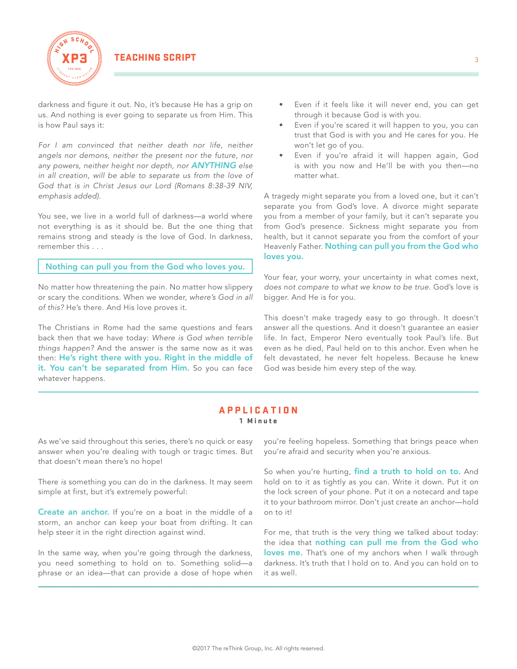

darkness and figure it out. No, it's because He has a grip on us. And nothing is ever going to separate us from Him. This is how Paul says it:

*For I am convinced that neither death nor life, neither angels nor demons, neither the present nor the future, nor any powers, neither height nor depth, nor ANYTHING else in all creation, will be able to separate us from the love of God that is in Christ Jesus our Lord (Romans 8:38-39 NIV, emphasis added).*

You see, we live in a world full of darkness—a world where not everything is as it should be. But the one thing that remains strong and steady is the love of God. In darkness, remember this . . .

Nothing can pull you from the God who loves you.

No matter how threatening the pain. No matter how slippery or scary the conditions. When we wonder, *where's God in all of this?* He's there. And His love proves it.

The Christians in Rome had the same questions and fears back then that we have today: *Where is God when terrible things happen?* And the answer is the same now as it was then: He's right there with you. Right in the middle of it. You can't be separated from Him. So you can face whatever happens.

- Even if it feels like it will never end, you can get through it because God is with you.
- Even if you're scared it will happen to you, you can trust that God is with you and He cares for you. He won't let go of you.
- Even if you're afraid it will happen again, God is with you now and He'll be with you then—no matter what.

A tragedy might separate you from a loved one, but it can't separate you from God's love. A divorce might separate you from a member of your family, but it can't separate you from God's presence. Sickness might separate you from health, but it cannot separate you from the comfort of your Heavenly Father. Nothing can pull you from the God who loves you.

Your fear, your worry, your uncertainty in what comes next, *does not compare to what we know to be true*. God's love is bigger. And He is for you.

This doesn't make tragedy easy to go through. It doesn't answer all the questions. And it doesn't guarantee an easier life. In fact, Emperor Nero eventually took Paul's life. But even as he died, Paul held on to this anchor. Even when he felt devastated, he never felt hopeless. Because he knew God was beside him every step of the way.

#### APPLICATION 1 Minute

\_\_\_\_\_\_\_\_\_\_\_\_\_\_\_\_\_\_\_\_\_\_\_\_\_\_\_\_\_\_\_\_\_\_\_\_\_\_\_\_\_\_\_\_\_\_\_\_\_\_\_\_\_\_\_\_\_\_\_\_\_\_\_\_\_\_\_\_\_\_\_\_\_\_\_\_\_\_\_\_\_\_\_\_\_\_\_\_\_\_\_\_\_\_\_\_\_\_\_\_\_\_\_\_\_\_\_\_\_\_

As we've said throughout this series, there's no quick or easy answer when you're dealing with tough or tragic times. But that doesn't mean there's no hope!

There *is* something you can do in the darkness. It may seem simple at first, but it's extremely powerful:

**Create an anchor.** If you're on a boat in the middle of a storm, an anchor can keep your boat from drifting. It can help steer it in the right direction against wind.

In the same way, when you're going through the darkness, you need something to hold on to. Something solid—a phrase or an idea—that can provide a dose of hope when you're feeling hopeless. Something that brings peace when you're afraid and security when you're anxious.

So when you're hurting, find a truth to hold on to. And hold on to it as tightly as you can. Write it down. Put it on the lock screen of your phone. Put it on a notecard and tape it to your bathroom mirror. Don't just create an anchor—hold on to it!

For me, that truth is the very thing we talked about today: the idea that nothing can pull me from the God who loves me. That's one of my anchors when I walk through darkness. It's truth that I hold on to. And you can hold on to it as well.

 $\overline{a}$  , and the contribution of the contribution of the contribution of the contribution of the contribution of the contribution of the contribution of the contribution of the contribution of the contribution of the co